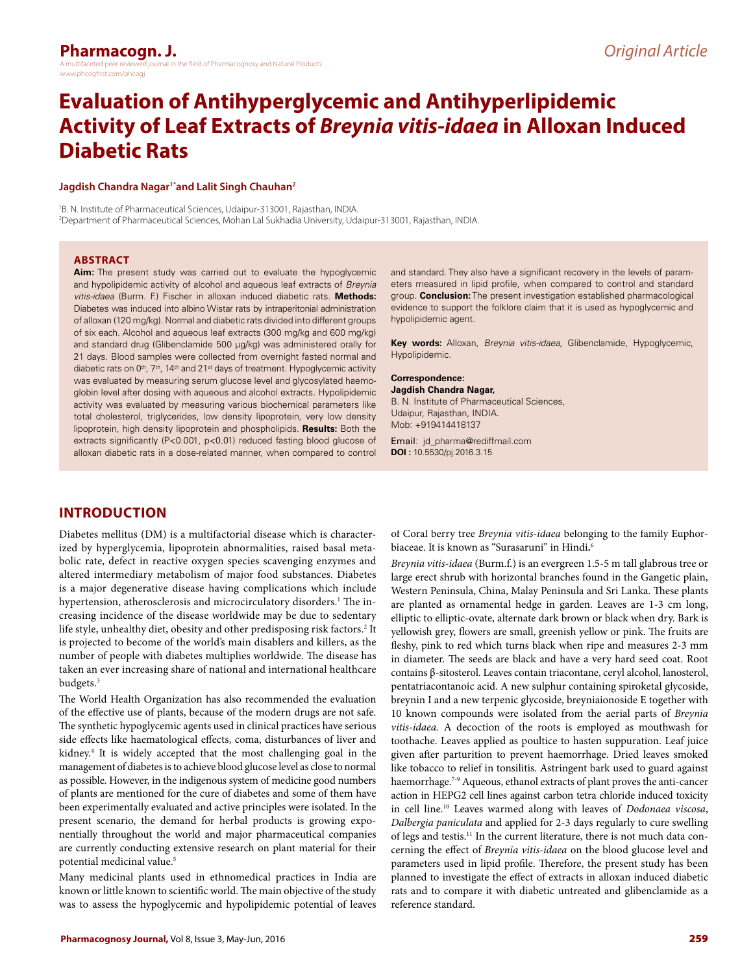# **Evaluation of Antihyperglycemic and Antihyperlipidemic Activity of Leaf Extracts of** *Breynia vitis-idaea* **in Alloxan Induced Diabetic Rats**

#### Jagdish Chandra Nagar<sup>1\*</sup>and Lalit Singh Chauhan<sup>2</sup>

1 B. N. Institute of Pharmaceutical Sciences, Udaipur-313001, Rajasthan, INDIA. 2 Department of Pharmaceutical Sciences, Mohan Lal Sukhadia University, Udaipur-313001, Rajasthan, INDIA.

#### **ABSTRACT**

**Aim:** The present study was carried out to evaluate the hypoglycemic and hypolipidemic activity of alcohol and aqueous leaf extracts of *Breynia vitis-idaea* (Burm. F.) Fischer in alloxan induced diabetic rats. **Methods:**  Diabetes was induced into albino Wistar rats by intraperitonial administration of alloxan (120 mg/kg). Normal and diabetic rats divided into different groups of six each. Alcohol and aqueous leaf extracts (300 mg/kg and 600 mg/kg) and standard drug (Glibenclamide 500 μg/kg) was administered orally for 21 days. Blood samples were collected from overnight fasted normal and diabetic rats on 0<sup>th</sup>, 7<sup>th</sup>, 14<sup>th</sup> and 21<sup>st</sup> days of treatment. Hypoglycemic activity was evaluated by measuring serum glucose level and glycosylated haemoglobin level after dosing with aqueous and alcohol extracts. Hypolipidemic activity was evaluated by measuring various biochemical parameters like total cholesterol, triglycerides, low density lipoprotein, very low density lipoprotein, high density lipoprotein and phospholipids. **Results:** Both the extracts significantly (P<0.001, p<0.01) reduced fasting blood glucose of alloxan diabetic rats in a dose-related manner, when compared to control

and standard. They also have a significant recovery in the levels of parameters measured in lipid profile, when compared to control and standard group. **Conclusion:** The present investigation established pharmacological evidence to support the folklore claim that it is used as hypoglycemic and hypolipidemic agent.

**Key words:** Alloxan, *Breynia vitis-idaea,* Glibenclamide, Hypoglycemic, Hypolipidemic.

## **Correspondence:**

**Jagdish Chandra Nagar,**  B. N. Institute of Pharmaceutical Sciences, Udaipur, Rajasthan, INDIA. Mob: +919414418137

Email: jd\_pharma@rediffmail.com **DOI :** 10.5530/pj.2016.3.15

# **INTRODUCTION**

Diabetes mellitus (DM) is a multifactorial disease which is characterized by hyperglycemia, lipoprotein abnormalities, raised basal metabolic rate, defect in reactive oxygen species scavenging enzymes and altered intermediary metabolism of major food substances. Diabetes is a major degenerative disease having complications which include hypertension, atherosclerosis and microcirculatory disorders.<sup>1</sup> The increasing incidence of the disease worldwide may be due to sedentary life style, unhealthy diet, obesity and other predisposing risk factors.<sup>2</sup> It is projected to become of the world's main disablers and killers, as the number of people with diabetes multiplies worldwide. The disease has taken an ever increasing share of national and international healthcare budgets.<sup>3</sup>

The World Health Organization has also recommended the evaluation of the effective use of plants, because of the modern drugs are not safe. The synthetic hypoglycemic agents used in clinical practices have serious side effects like haematological effects, coma, disturbances of liver and kidney.4 It is widely accepted that the most challenging goal in the management of diabetes is to achieve blood glucose level as close to normal as possible. However, in the indigenous system of medicine good numbers of plants are mentioned for the cure of diabetes and some of them have been experimentally evaluated and active principles were isolated. In the present scenario, the demand for herbal products is growing exponentially throughout the world and major pharmaceutical companies are currently conducting extensive research on plant material for their potential medicinal value.<sup>5</sup>

Many medicinal plants used in ethnomedical practices in India are known or little known to scientific world. The main objective of the study was to assess the hypoglycemic and hypolipidemic potential of leaves

of Coral berry tree *Breynia vitis-idaea* belonging to the family Euphorbiaceae. It is known as "Surasaruni" in Hindi**.** 6

*Breynia vitis-idaea* (Burm.f.) is an evergreen 1.5-5 m tall glabrous tree or large erect shrub with horizontal branches found in the Gangetic plain, Western Peninsula, China, Malay Peninsula and Sri Lanka. These plants are planted as ornamental hedge in garden. Leaves are 1-3 cm long, elliptic to elliptic-ovate, alternate dark brown or black when dry. Bark is yellowish grey, flowers are small, greenish yellow or pink. The fruits are fleshy, pink to red which turns black when ripe and measures 2-3 mm in diameter. The seeds are black and have a very hard seed coat. Root contains β-sitosterol. Leaves contain triacontane, ceryl alcohol, lanosterol, pentatriacontanoic acid. A new sulphur containing spiroketal glycoside, breynin I and a new terpenic glycoside, breyniaionoside E together with 10 known compounds were isolated from the aerial parts of *Breynia vitis-idaea.* A decoction of the roots is employed as mouthwash for toothache. Leaves applied as poultice to hasten suppuration. Leaf juice given after parturition to prevent haemorrhage. Dried leaves smoked like tobacco to relief in tonsilitis. Astringent bark used to guard against haemorrhage.<sup>7-9</sup> Aqueous, ethanol extracts of plant proves the anti-cancer action in HEPG2 cell lines against carbon tetra chloride induced toxicity in cell line.10 Leaves warmed along with leaves of *Dodonaea viscosa*, *Dalbergia paniculata* and applied for 2-3 days regularly to cure swelling of legs and testis.<sup>11</sup> In the current literature, there is not much data concerning the effect of *Breynia vitis-idaea* on the blood glucose level and parameters used in lipid profile. Therefore, the present study has been planned to investigate the effect of extracts in alloxan induced diabetic rats and to compare it with diabetic untreated and glibenclamide as a reference standard.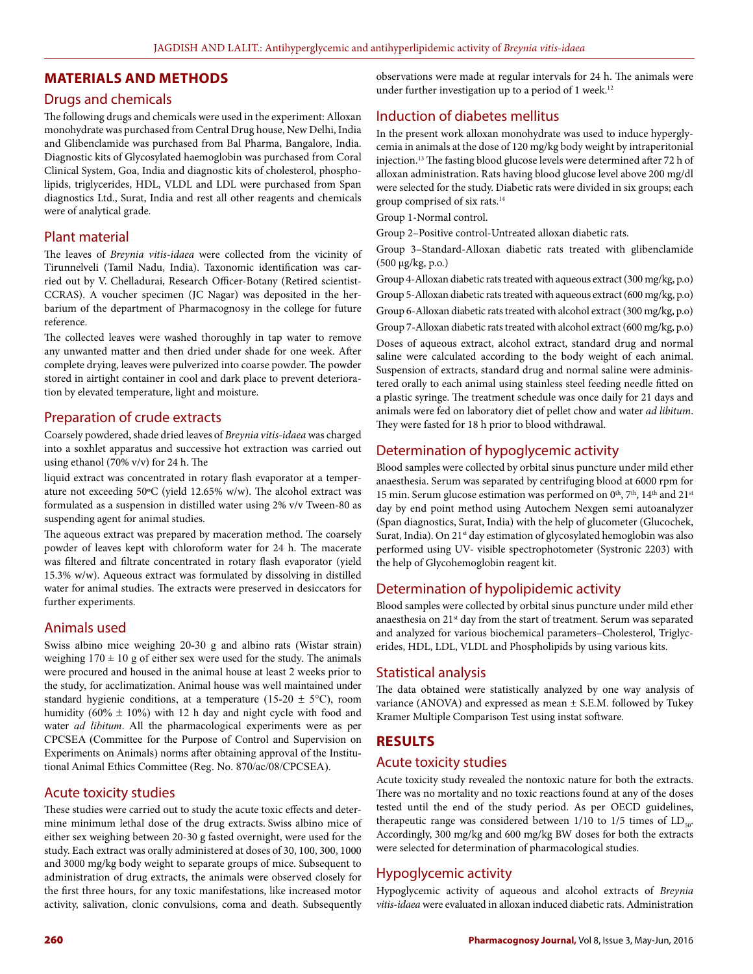#### **MATERIALS AND METHODS**

#### Drugs and chemicals

The following drugs and chemicals were used in the experiment: Alloxan monohydrate was purchased from Central Drug house, New Delhi, India and Glibenclamide was purchased from Bal Pharma, Bangalore, India. Diagnostic kits of Glycosylated haemoglobin was purchased from Coral Clinical System, Goa, India and diagnostic kits of cholesterol, phospholipids, triglycerides, HDL, VLDL and LDL were purchased from Span diagnostics Ltd., Surat, India and rest all other reagents and chemicals were of analytical grade.

#### Plant material

The leaves of *Breynia vitis-idaea* were collected from the vicinity of Tirunnelveli (Tamil Nadu, India). Taxonomic identification was carried out by V. Chelladurai, Research Officer-Botany (Retired scientist-CCRAS). A voucher specimen (JC Nagar) was deposited in the herbarium of the department of Pharmacognosy in the college for future reference.

The collected leaves were washed thoroughly in tap water to remove any unwanted matter and then dried under shade for one week. After complete drying, leaves were pulverized into coarse powder. The powder stored in airtight container in cool and dark place to prevent deterioration by elevated temperature, light and moisture.

#### Preparation of crude extracts

Coarsely powdered, shade dried leaves of *Breynia vitis-idaea* was charged into a soxhlet apparatus and successive hot extraction was carried out using ethanol (70% v/v) for 24 h. The

liquid extract was concentrated in rotary flash evaporator at a temperature not exceeding 50ºC (yield 12.65% w/w). The alcohol extract was formulated as a suspension in distilled water using 2% v/v Tween-80 as suspending agent for animal studies.

The aqueous extract was prepared by maceration method. The coarsely powder of leaves kept with chloroform water for 24 h. The macerate was filtered and filtrate concentrated in rotary flash evaporator (yield 15.3% w/w). Aqueous extract was formulated by dissolving in distilled water for animal studies. The extracts were preserved in desiccators for further experiments.

## Animals used

Swiss albino mice weighing 20-30 g and albino rats (Wistar strain) weighing  $170 \pm 10$  g of either sex were used for the study. The animals were procured and housed in the animal house at least 2 weeks prior to the study, for acclimatization. Animal house was well maintained under standard hygienic conditions, at a temperature (15-20  $\pm$  5°C), room humidity ( $60\% \pm 10\%$ ) with 12 h day and night cycle with food and water *ad libitum*. All the pharmacological experiments were as per CPCSEA (Committee for the Purpose of Control and Supervision on Experiments on Animals) norms after obtaining approval of the Institutional Animal Ethics Committee (Reg. No. 870/ac/08/CPCSEA).

#### Acute toxicity studies

These studies were carried out to study the acute toxic effects and determine minimum lethal dose of the drug extracts. Swiss albino mice of either sex weighing between 20-30 g fasted overnight, were used for the study. Each extract was orally administered at doses of 30, 100, 300, 1000 and 3000 mg/kg body weight to separate groups of mice. Subsequent to administration of drug extracts, the animals were observed closely for the first three hours, for any toxic manifestations, like increased motor activity, salivation, clonic convulsions, coma and death. Subsequently

observations were made at regular intervals for 24 h. The animals were under further investigation up to a period of 1 week.<sup>12</sup>

# Induction of diabetes mellitus

In the present work alloxan monohydrate was used to induce hyperglycemia in animals at the dose of 120 mg/kg body weight by intraperitonial injection.13 The fasting blood glucose levels were determined after 72 h of alloxan administration. Rats having blood glucose level above 200 mg/dl were selected for the study. Diabetic rats were divided in six groups; each group comprised of six rats.14

Group 1-Normal control.

Group 2–Positive control-Untreated alloxan diabetic rats.

Group 3–Standard-Alloxan diabetic rats treated with glibenclamide (500 µg/kg, p.o.)

Group 4-Alloxan diabetic rats treated with aqueous extract (300 mg/kg, p.o) Group 5-Alloxan diabetic rats treated with aqueous extract (600 mg/kg, p.o) Group 6-Alloxan diabetic rats treated with alcohol extract (300 mg/kg, p.o) Group 7-Alloxan diabetic rats treated with alcohol extract (600 mg/kg, p.o) Doses of aqueous extract, alcohol extract, standard drug and normal saline were calculated according to the body weight of each animal. Suspension of extracts, standard drug and normal saline were administered orally to each animal using stainless steel feeding needle fitted on

a plastic syringe. The treatment schedule was once daily for 21 days and animals were fed on laboratory diet of pellet chow and water *ad libitum*. They were fasted for 18 h prior to blood withdrawal.

## Determination of hypoglycemic activity

Blood samples were collected by orbital sinus puncture under mild ether anaesthesia. Serum was separated by centrifuging blood at 6000 rpm for 15 min. Serum glucose estimation was performed on  $0<sup>th</sup>$ ,  $7<sup>th</sup>$ ,  $14<sup>th</sup>$  and  $21<sup>st</sup>$ day by end point method using Autochem Nexgen semi autoanalyzer (Span diagnostics, Surat, India) with the help of glucometer (Glucochek, Surat, India). On 21<sup>st</sup> day estimation of glycosylated hemoglobin was also performed using UV- visible spectrophotometer (Systronic 2203) with the help of Glycohemoglobin reagent kit.

# Determination of hypolipidemic activity

Blood samples were collected by orbital sinus puncture under mild ether anaesthesia on 21<sup>st</sup> day from the start of treatment. Serum was separated and analyzed for various biochemical parameters–Cholesterol, Triglycerides, HDL, LDL, VLDL and Phospholipids by using various kits.

## Statistical analysis

The data obtained were statistically analyzed by one way analysis of variance (ANOVA) and expressed as mean ± S.E.M. followed by Tukey Kramer Multiple Comparison Test using instat software.

## **RESULTS**

#### Acute toxicity studies

Acute toxicity study revealed the nontoxic nature for both the extracts. There was no mortality and no toxic reactions found at any of the doses tested until the end of the study period. As per OECD guidelines, therapeutic range was considered between  $1/10$  to  $1/5$  times of  $LD_{\text{tot}}$ . Accordingly, 300 mg/kg and 600 mg/kg BW doses for both the extracts were selected for determination of pharmacological studies.

## Hypoglycemic activity

Hypoglycemic activity of aqueous and alcohol extracts of *Breynia vitis-idaea* were evaluated in alloxan induced diabetic rats. Administration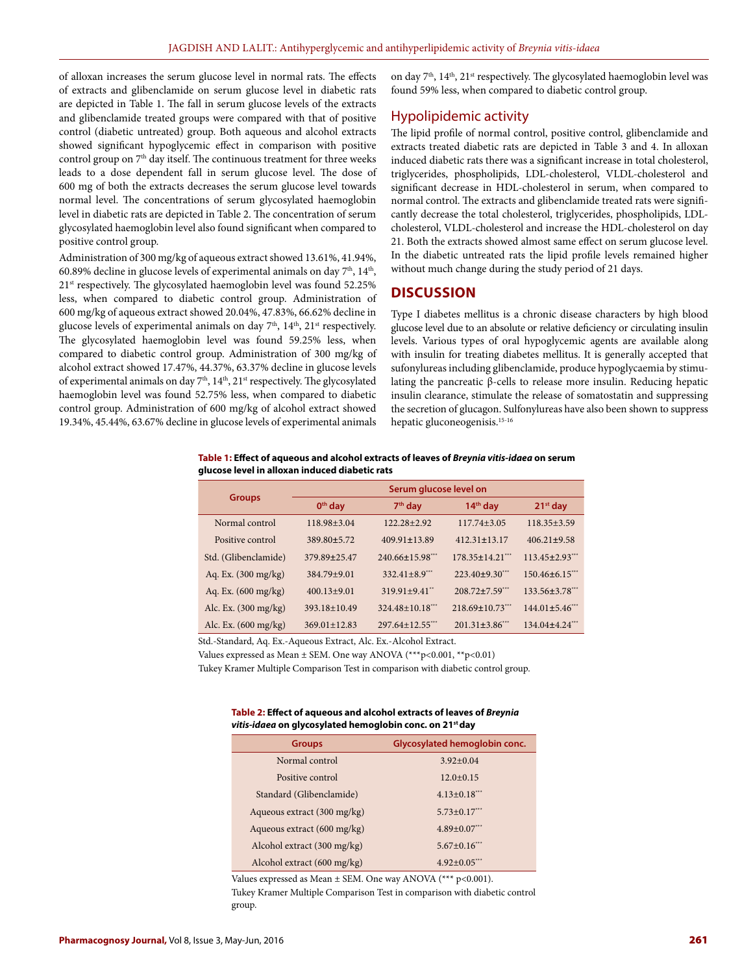of alloxan increases the serum glucose level in normal rats. The effects of extracts and glibenclamide on serum glucose level in diabetic rats are depicted in Table 1. The fall in serum glucose levels of the extracts and glibenclamide treated groups were compared with that of positive control (diabetic untreated) group. Both aqueous and alcohol extracts showed significant hypoglycemic effect in comparison with positive control group on 7<sup>th</sup> day itself. The continuous treatment for three weeks leads to a dose dependent fall in serum glucose level. The dose of 600 mg of both the extracts decreases the serum glucose level towards normal level. The concentrations of serum glycosylated haemoglobin level in diabetic rats are depicted in Table 2. The concentration of serum glycosylated haemoglobin level also found significant when compared to positive control group.

Administration of 300 mg/kg of aqueous extract showed 13.61%, 41.94%, 60.89% decline in glucose levels of experimental animals on day  $7<sup>th</sup>$ , 14<sup>th</sup>, 21<sup>st</sup> respectively. The glycosylated haemoglobin level was found 52.25% less, when compared to diabetic control group. Administration of 600 mg/kg of aqueous extract showed 20.04%, 47.83%, 66.62% decline in glucose levels of experimental animals on day  $7<sup>th</sup>$ ,  $14<sup>th</sup>$ ,  $21<sup>st</sup>$  respectively. The glycosylated haemoglobin level was found 59.25% less, when compared to diabetic control group. Administration of 300 mg/kg of alcohol extract showed 17.47%, 44.37%, 63.37% decline in glucose levels of experimental animals on day 7<sup>th</sup>, 14<sup>th</sup>, 21<sup>st</sup> respectively. The glycosylated haemoglobin level was found 52.75% less, when compared to diabetic control group. Administration of 600 mg/kg of alcohol extract showed 19.34%, 45.44%, 63.67% decline in glucose levels of experimental animals

on day  $7<sup>th</sup>$ ,  $14<sup>th</sup>$ ,  $21<sup>st</sup>$  respectively. The glycosylated haemoglobin level was found 59% less, when compared to diabetic control group.

#### Hypolipidemic activity

The lipid profile of normal control, positive control, glibenclamide and extracts treated diabetic rats are depicted in Table 3 and 4. In alloxan induced diabetic rats there was a significant increase in total cholesterol, triglycerides, phospholipids, LDL-cholesterol, VLDL-cholesterol and significant decrease in HDL-cholesterol in serum, when compared to normal control. The extracts and glibenclamide treated rats were significantly decrease the total cholesterol, triglycerides, phospholipids, LDLcholesterol, VLDL-cholesterol and increase the HDL-cholesterol on day 21. Both the extracts showed almost same effect on serum glucose level. In the diabetic untreated rats the lipid profile levels remained higher without much change during the study period of 21 days.

#### **DISCUSSION**

Type I diabetes mellitus is a chronic disease characters by high blood glucose level due to an absolute or relative deficiency or circulating insulin levels. Various types of oral hypoglycemic agents are available along with insulin for treating diabetes mellitus. It is generally accepted that sufonylureas including glibenclamide, produce hypoglycaemia by stimulating the pancreatic β-cells to release more insulin. Reducing hepatic insulin clearance, stimulate the release of somatostatin and suppressing the secretion of glucagon. Sulfonylureas have also been shown to suppress hepatic gluconeogenisis.15-16

#### **Table 1: Effect of aqueous and alcohol extracts of leaves of** *Breynia vitis-idaea* **on serum glucose level in alloxan induced diabetic rats**

|                                | Serum glucose level on |                        |                       |                       |  |
|--------------------------------|------------------------|------------------------|-----------------------|-----------------------|--|
| <b>Groups</b>                  | $0th$ day<br>$7th$ day |                        | $14th$ day            | $21st$ day            |  |
| Normal control                 | $118.98 + 3.04$        | $122.28 + 2.92$        | $117.74 + 3.05$       | $118.35 + 3.59$       |  |
| Positive control               | 389.80±5.72            | $409.91 \pm 13.89$     | $412.31 \pm 13.17$    | $406.21 \pm 9.58$     |  |
| Std. (Glibenclamide)           | 379.89±25.47           | $240.66 \pm 15.98$ *** | $178.35 + 14.21***$   | $113.45 \pm 2.93$     |  |
| Aq. Ex. (300 mg/kg)            | $384.79 + 9.01$        | $332.41 + 8.9***$      | $223.40\pm9.30$       | $150.46 + 6.15***$    |  |
| Aq. Ex. $(600 \text{ mg/kg})$  | $400.13 + 9.01$        | $319.91 + 9.41$        | $208.72 \pm 7.59$ *** | $133.56 \pm 3.78$     |  |
| Alc. Ex. $(300 \text{ mg/kg})$ | $393.18 + 10.49$       | $324.48 \pm 10.18$     | $218.69 \pm 10.73$    | $144.01 \pm 5.46$ *** |  |
| Alc. Ex. $(600 \text{ mg/kg})$ | $369.01 + 12.83$       | $297.64 + 12.55$       | $201.31 \pm 3.86$ **  | $134.04 \pm 4.24$     |  |

Std.-Standard, Aq. Ex.-Aqueous Extract, Alc. Ex.-Alcohol Extract.

Values expressed as Mean ± SEM. One way ANOVA (\*\*\*p<0.001, \*\*p<0.01)

Tukey Kramer Multiple Comparison Test in comparison with diabetic control group.

**Table 2: Effect of aqueous and alcohol extracts of leaves of** *Breynia vitis-idaea* **on glycosylated hemoglobin conc. on 21st day**

| <b>Groups</b>               | Glycosylated hemoglobin conc. |  |  |
|-----------------------------|-------------------------------|--|--|
| Normal control              | $3.92 + 0.04$                 |  |  |
| Positive control            | $12.0+0.15$                   |  |  |
| Standard (Glibenclamide)    | $4.13 \pm 0.18$ ***           |  |  |
| Aqueous extract (300 mg/kg) | $5.73 \pm 0.17$ ***           |  |  |
| Aqueous extract (600 mg/kg) | $4.89 \pm 0.07$ ***           |  |  |
| Alcohol extract (300 mg/kg) | $5.67+0.16***$                |  |  |
| Alcohol extract (600 mg/kg) | $4.92 \pm 0.05$ ***           |  |  |

Values expressed as Mean ± SEM. One way ANOVA (\*\*\* p<0.001). Tukey Kramer Multiple Comparison Test in comparison with diabetic control group.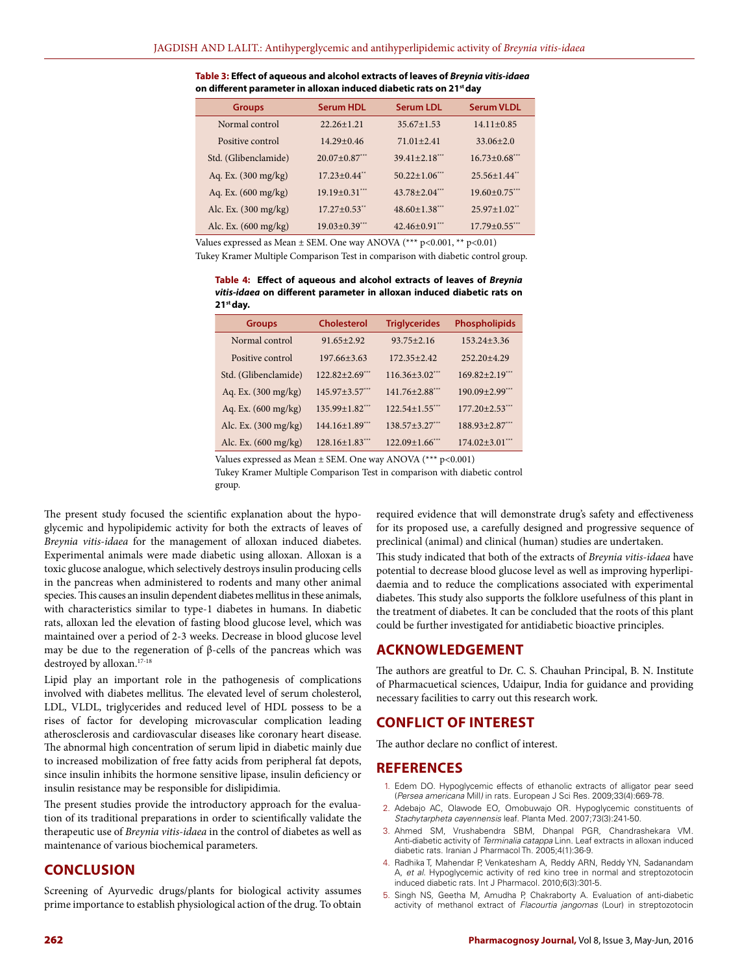**Table 3: Effect of aqueous and alcohol extracts of leaves of** *Breynia vitis-idaea* **on different parameter in alloxan induced diabetic rats on 21st day**

| <b>Groups</b>                  | <b>Serum HDL</b>             | <b>Serum LDL</b>     | <b>Serum VLDL</b>              |
|--------------------------------|------------------------------|----------------------|--------------------------------|
| Normal control                 | $22.26 + 1.21$               | $35.67 + 1.53$       | $14.11 + 0.85$                 |
| Positive control               | $14.29 + 0.46$               | $71.01 + 2.41$       | $33.06 + 2.0$                  |
| Std. (Glibenclamide)           | $20.07 + 0.87$ ***           | $39.41 + 2.18$       | $16.73 \pm 0.68$               |
| Aq. Ex. $(300 \text{ mg/kg})$  | $17.23 + 0.44$ <sup>**</sup> | $50.22 \pm 1.06$     | $25.56 + 1.44$                 |
| Aq. Ex. (600 mg/kg)            | $19.19 \pm 0.31$             | $43.78 + 2.04$       | $19.60 + 0.75$                 |
| Alc. Ex. (300 mg/kg)           | $17.27 + 0.53$ <sup>**</sup> | $48.60 \pm 1.38$ *** | $25.97 \pm 1.02$ <sup>**</sup> |
| Alc. Ex. $(600 \text{ mg/kg})$ | $19.03 \pm 0.39$ ***         | $42.46 \pm 0.91$     | $17.79 + 0.55$ ***             |

Values expressed as Mean ± SEM. One way ANOVA (\*\*\* p<0.001, \*\* p<0.01)

Tukey Kramer Multiple Comparison Test in comparison with diabetic control group.

**Table 4: Effect of aqueous and alcohol extracts of leaves of** *Breynia vitis-idaea* **on different parameter in alloxan induced diabetic rats on 21st day.**

| <b>Groups</b>                  | <b>Cholesterol</b>    | <b>Triglycerides</b>  | <b>Phospholipids</b>  |
|--------------------------------|-----------------------|-----------------------|-----------------------|
| Normal control                 | $91.65 + 2.92$        | $93.75 + 2.16$        | $153.24 + 3.36$       |
| Positive control               | $197.66 + 3.63$       | $172.35 + 2.42$       | $252.20 + 4.29$       |
| Std. (Glibenclamide)           | $122.82 + 2.69***$    | $116.36 + 3.02$ ***   | $169.82 \pm 2.19$ *** |
| Aq. Ex. (300 mg/kg)            | $145.97 + 3.57$ ***   | $141.76 + 2.88$ ***   | $190.09 \pm 2.99$ *** |
| Aq. Ex. $(600 \text{ mg/kg})$  | $135.99 \pm 1.82$     | $122.54 \pm 1.55$ *** | $177.20 \pm 2.53$ *** |
| Alc. Ex. (300 mg/kg)           | $144.16 \pm 1.89$ *** | $138.57 \pm 3.27$ *** | $188.93 \pm 2.87$ *** |
| Alc. Ex. $(600 \text{ mg/kg})$ | $128.16 \pm 1.83$     | $122.09 \pm 1.66$ *** | $174.02 \pm 3.01$ *** |

Values expressed as Mean  $\pm$  SEM. One way ANOVA (\*\*\* p<0.001)

Tukey Kramer Multiple Comparison Test in comparison with diabetic control group.

The present study focused the scientific explanation about the hypoglycemic and hypolipidemic activity for both the extracts of leaves of *Breynia vitis-idaea* for the management of alloxan induced diabetes. Experimental animals were made diabetic using alloxan. Alloxan is a toxic glucose analogue, which selectively destroys insulin producing cells in the pancreas when administered to rodents and many other animal species. This causes an insulin dependent diabetes mellitus in these animals, with characteristics similar to type-1 diabetes in humans. In diabetic rats, alloxan led the elevation of fasting blood glucose level, which was maintained over a period of 2-3 weeks. Decrease in blood glucose level may be due to the regeneration of  $β$ -cells of the pancreas which was destroyed by alloxan.17-18

Lipid play an important role in the pathogenesis of complications involved with diabetes mellitus. The elevated level of serum cholesterol, LDL, VLDL, triglycerides and reduced level of HDL possess to be a rises of factor for developing microvascular complication leading atherosclerosis and cardiovascular diseases like coronary heart disease. The abnormal high concentration of serum lipid in diabetic mainly due to increased mobilization of free fatty acids from peripheral fat depots, since insulin inhibits the hormone sensitive lipase, insulin deficiency or insulin resistance may be responsible for dislipidimia.

The present studies provide the introductory approach for the evaluation of its traditional preparations in order to scientifically validate the therapeutic use of *Breynia vitis-idaea* in the control of diabetes as well as maintenance of various biochemical parameters.

## **CONCLUSION**

Screening of Ayurvedic drugs/plants for biological activity assumes prime importance to establish physiological action of the drug. To obtain required evidence that will demonstrate drug's safety and effectiveness for its proposed use, a carefully designed and progressive sequence of preclinical (animal) and clinical (human) studies are undertaken.

This study indicated that both of the extracts of *Breynia vitis-idaea* have potential to decrease blood glucose level as well as improving hyperlipidaemia and to reduce the complications associated with experimental diabetes. This study also supports the folklore usefulness of this plant in the treatment of diabetes. It can be concluded that the roots of this plant could be further investigated for antidiabetic bioactive principles.

## **ACKNOWLEDGEMENT**

The authors are greatful to Dr. C. S. Chauhan Principal, B. N. Institute of Pharmacuetical sciences, Udaipur, India for guidance and providing necessary facilities to carry out this research work.

## **CONFLICT OF INTEREST**

The author declare no conflict of interest.

#### **REFERENCES**

- 1. Edem DO. Hypoglycemic effects of ethanolic extracts of alligator pear seed (*Persea americana* Mill*)* in rats. European J Sci Res. 2009;33(4):669-78.
- 2. Adebajo AC, Olawode EO, Omobuwajo OR. Hypoglycemic constituents of *Stachytarpheta cayennensis* leaf. Planta Med. 2007;73(3):241-50.
- 3. Ahmed SM, Vrushabendra SBM, Dhanpal PGR, Chandrashekara VM. Anti-diabetic activity of *Terminalia catappa* Linn. Leaf extracts in alloxan induced diabetic rats. Iranian J Pharmacol Th. 2005;4(1):36-9.
- 4. Radhika T, Mahendar P, Venkatesham A, Reddy ARN, Reddy YN, Sadanandam A, *et al*. Hypoglycemic activity of red kino tree in normal and streptozotocin induced diabetic rats. Int J Pharmacol. 2010;6(3):301-5.
- 5. Singh NS, Geetha M, Amudha P, Chakraborty A. Evaluation of anti-diabetic activity of methanol extract of *Flacourtia jangomas* (Lour) in streptozotocin